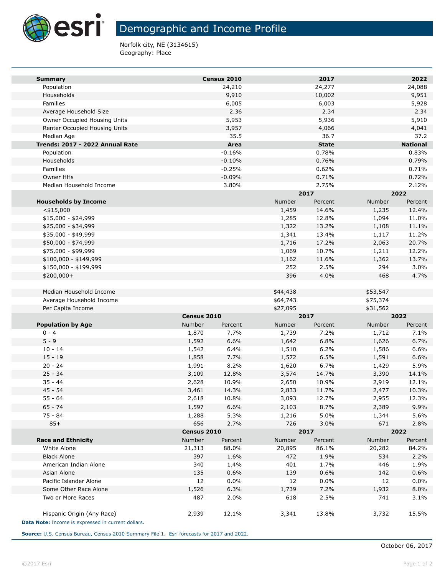

# Demographic and Income Profile

Norfolk city, NE (3134615) Geography: Place

| <b>Summary</b>                                                                   |                | Census 2010          |                | 2017           |                | 2022            |  |
|----------------------------------------------------------------------------------|----------------|----------------------|----------------|----------------|----------------|-----------------|--|
| Population                                                                       |                | 24,210               |                | 24,277         |                | 24,088          |  |
| Households                                                                       |                | 9,910                |                | 10,002         |                | 9,951           |  |
| Families                                                                         |                | 6,005                |                | 6,003          |                | 5,928           |  |
| Average Household Size                                                           |                | 2.36                 |                | 2.34           |                | 2.34            |  |
| Owner Occupied Housing Units                                                     |                | 5,953                |                | 5,936          |                | 5,910           |  |
| Renter Occupied Housing Units                                                    |                | 3,957                |                | 4,066          |                | 4,041           |  |
| Median Age                                                                       |                | 35.5                 |                | 36.7           |                | 37.2            |  |
| Trends: 2017 - 2022 Annual Rate                                                  |                | Area                 |                | <b>State</b>   |                | <b>National</b> |  |
| Population                                                                       |                | $-0.16%$             |                | 0.78%          |                | 0.83%           |  |
| Households                                                                       |                | $-0.10%$             |                | 0.76%          |                | 0.79%           |  |
| Families<br>Owner HHs                                                            |                | $-0.25%$<br>$-0.09%$ |                | 0.62%<br>0.71% |                | 0.71%<br>0.72%  |  |
| Median Household Income                                                          |                | 3.80%                |                | 2.75%          |                | 2.12%           |  |
|                                                                                  |                |                      |                | 2017           |                | 2022            |  |
| <b>Households by Income</b>                                                      |                |                      | Number         | Percent        | Number         | Percent         |  |
| $<$ \$15,000                                                                     |                |                      | 1,459          | 14.6%          | 1,235          | 12.4%           |  |
| \$15,000 - \$24,999                                                              |                |                      | 1,285          | 12.8%          | 1,094          | 11.0%           |  |
| \$25,000 - \$34,999                                                              |                |                      | 1,322          | 13.2%          | 1,108          | 11.1%           |  |
| \$35,000 - \$49,999                                                              |                |                      | 1,341          | 13.4%          | 1,117          | 11.2%           |  |
| \$50,000 - \$74,999                                                              |                |                      | 1,716          | 17.2%          | 2,063          | 20.7%           |  |
| \$75,000 - \$99,999                                                              |                |                      | 1,069          | 10.7%          | 1,211          | 12.2%           |  |
| $$100,000 - $149,999$                                                            |                |                      | 1,162          | 11.6%          | 1,362          | 13.7%           |  |
| \$150,000 - \$199,999                                                            |                |                      | 252            | 2.5%           | 294            | 3.0%            |  |
| $$200,000+$                                                                      |                |                      | 396            | 4.0%           | 468            | 4.7%            |  |
|                                                                                  |                |                      |                |                |                |                 |  |
| Median Household Income                                                          |                |                      | \$44,438       |                | \$53,547       |                 |  |
| Average Household Income                                                         |                |                      | \$64,743       |                | \$75,374       |                 |  |
| Per Capita Income                                                                |                |                      | \$27,095       |                | \$31,562       |                 |  |
|                                                                                  | Census 2010    |                      | 2017           |                | 2022           |                 |  |
| <b>Population by Age</b>                                                         | Number         | Percent              | Number         | Percent        | Number         | Percent         |  |
| $0 - 4$                                                                          | 1,870          | 7.7%                 | 1,739          | 7.2%           | 1,712          | 7.1%            |  |
| $5 - 9$                                                                          | 1,592          | 6.6%                 | 1,642          | 6.8%           | 1,626          | 6.7%            |  |
| $10 - 14$<br>$15 - 19$                                                           | 1,542          | 6.4%<br>7.7%         | 1,510          | 6.2%<br>6.5%   | 1,586          | 6.6%<br>6.6%    |  |
| $20 - 24$                                                                        | 1,858<br>1,991 | 8.2%                 | 1,572<br>1,620 | 6.7%           | 1,591<br>1,429 | 5.9%            |  |
| $25 - 34$                                                                        | 3,109          | 12.8%                | 3,574          | 14.7%          | 3,390          | 14.1%           |  |
| $35 - 44$                                                                        | 2,628          | 10.9%                | 2,650          | 10.9%          | 2,919          | 12.1%           |  |
| $45 - 54$                                                                        | 3,461          | 14.3%                | 2,833          | 11.7%          | 2,477          | 10.3%           |  |
| $55 - 64$                                                                        | 2,618          | 10.8%                | 3,093          | 12.7%          | 2,955          | 12.3%           |  |
| $65 - 74$                                                                        | 1,597          | 6.6%                 | 2,103          | 8.7%           | 2,389          | 9.9%            |  |
| 75 - 84                                                                          | 1,288          | 5.3%                 | 1,216          | 5.0%           | 1,344          | 5.6%            |  |
| $85+$                                                                            | 656            | 2.7%                 | 726            | 3.0%           | 671            | 2.8%            |  |
|                                                                                  |                | Census 2010          |                | 2017           |                | 2022            |  |
| <b>Race and Ethnicity</b>                                                        | Number         | Percent              | Number         | Percent        | Number         | Percent         |  |
| White Alone                                                                      | 21,313         | 88.0%                | 20,895         | 86.1%          | 20,282         | 84.2%           |  |
| <b>Black Alone</b>                                                               | 397            | 1.6%                 | 472            | 1.9%           | 534            | 2.2%            |  |
| American Indian Alone                                                            | 340            | 1.4%                 | 401            | 1.7%           | 446            | 1.9%            |  |
| Asian Alone                                                                      | 135            | 0.6%                 | 139            | 0.6%           | 142            | 0.6%            |  |
| Pacific Islander Alone                                                           | 12             | 0.0%                 | 12             | 0.0%           | 12             | 0.0%            |  |
| Some Other Race Alone                                                            | 1,526          | 6.3%                 | 1,739          | 7.2%           | 1,932          | 8.0%            |  |
| Two or More Races                                                                | 487            | 2.0%                 | 618            | 2.5%           | 741            | 3.1%            |  |
| Hispanic Origin (Any Race)<br>Data Note: Income is expressed in current dollars. | 2,939          | 12.1%                | 3,341          | 13.8%          | 3,732          | 15.5%           |  |

**Source:** U.S. Census Bureau, Census 2010 Summary File 1. Esri forecasts for 2017 and 2022.